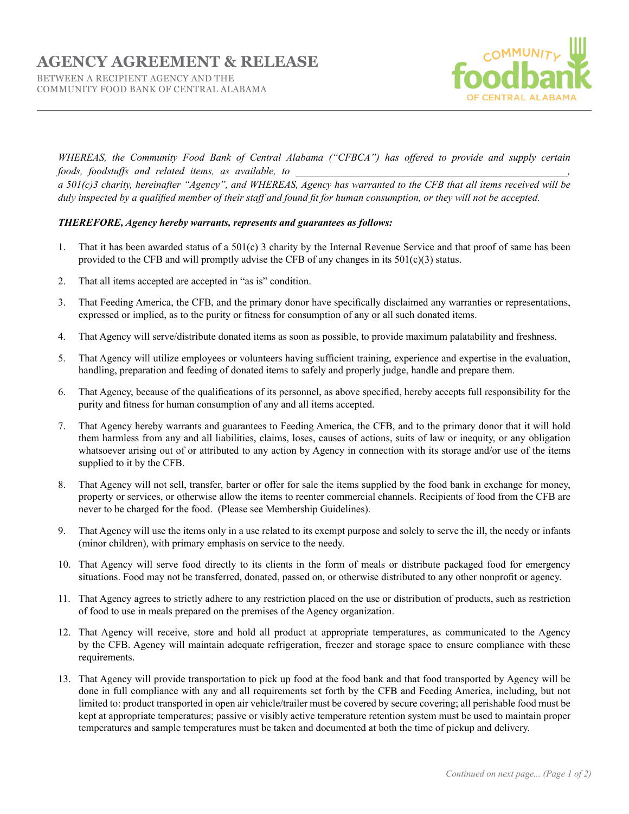## **AGENCY AGREEMENT & RELEASE**

BETWEEN A RECIPIENT AGENCY AND THE COMMUNITY FOOD BANK OF CENTRAL ALABAMA



*WHEREAS, the Community Food Bank of Central Alabama ("CFBCA") has offered to provide and supply certain foods, foodstuffs and related items, as available, to* 

*a 501(c)3 charity, hereinafter "Agency", and WHEREAS, Agency has warranted to the CFB that all items received will be duly inspected by a qualified member of their staff and found fit for human consumption, or they will not be accepted.*

## *THEREFORE, Agency hereby warrants, represents and guarantees as follows:*

- 1. That it has been awarded status of a 501(c) 3 charity by the Internal Revenue Service and that proof of same has been provided to the CFB and will promptly advise the CFB of any changes in its 501(c)(3) status.
- 2. That all items accepted are accepted in "as is" condition.
- 3. That Feeding America, the CFB, and the primary donor have specifically disclaimed any warranties or representations, expressed or implied, as to the purity or fitness for consumption of any or all such donated items.
- 4. That Agency will serve/distribute donated items as soon as possible, to provide maximum palatability and freshness.
- 5. That Agency will utilize employees or volunteers having sufficient training, experience and expertise in the evaluation, handling, preparation and feeding of donated items to safely and properly judge, handle and prepare them.
- 6. That Agency, because of the qualifications of its personnel, as above specified, hereby accepts full responsibility for the purity and fitness for human consumption of any and all items accepted.
- 7. That Agency hereby warrants and guarantees to Feeding America, the CFB, and to the primary donor that it will hold them harmless from any and all liabilities, claims, loses, causes of actions, suits of law or inequity, or any obligation whatsoever arising out of or attributed to any action by Agency in connection with its storage and/or use of the items supplied to it by the CFB.
- 8. That Agency will not sell, transfer, barter or offer for sale the items supplied by the food bank in exchange for money, property or services, or otherwise allow the items to reenter commercial channels. Recipients of food from the CFB are never to be charged for the food. (Please see Membership Guidelines).
- 9. That Agency will use the items only in a use related to its exempt purpose and solely to serve the ill, the needy or infants (minor children), with primary emphasis on service to the needy.
- 10. That Agency will serve food directly to its clients in the form of meals or distribute packaged food for emergency situations. Food may not be transferred, donated, passed on, or otherwise distributed to any other nonprofit or agency.
- 11. That Agency agrees to strictly adhere to any restriction placed on the use or distribution of products, such as restriction of food to use in meals prepared on the premises of the Agency organization.
- 12. That Agency will receive, store and hold all product at appropriate temperatures, as communicated to the Agency by the CFB. Agency will maintain adequate refrigeration, freezer and storage space to ensure compliance with these requirements.
- 13. That Agency will provide transportation to pick up food at the food bank and that food transported by Agency will be done in full compliance with any and all requirements set forth by the CFB and Feeding America, including, but not limited to: product transported in open air vehicle/trailer must be covered by secure covering; all perishable food must be kept at appropriate temperatures; passive or visibly active temperature retention system must be used to maintain proper temperatures and sample temperatures must be taken and documented at both the time of pickup and delivery.